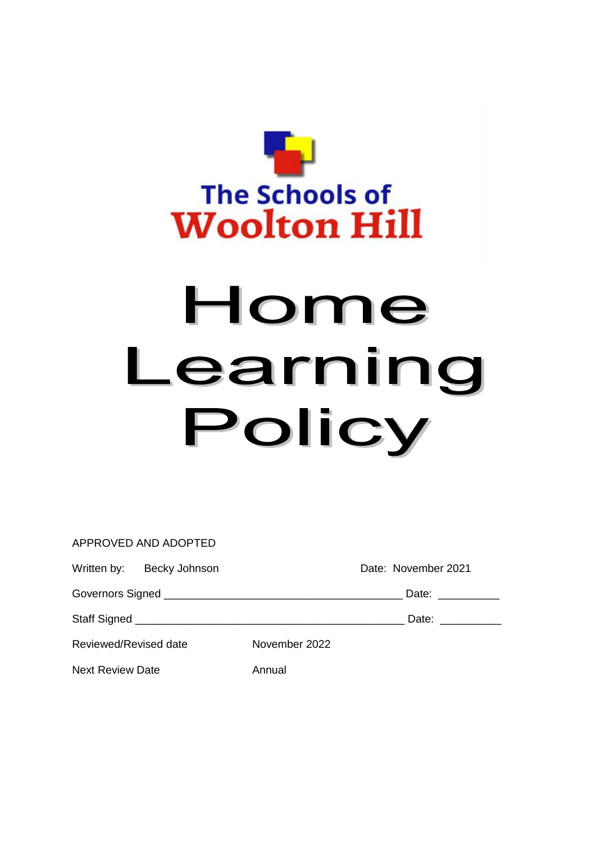

# Home Learning Policy

|                         | APPROVED AND ADOPTED      |               |                     |
|-------------------------|---------------------------|---------------|---------------------|
|                         | Written by: Becky Johnson |               | Date: November 2021 |
|                         |                           |               | Date: ___________   |
|                         |                           |               | Date: ___________   |
| Reviewed/Revised date   |                           | November 2022 |                     |
| <b>Next Review Date</b> |                           | Annual        |                     |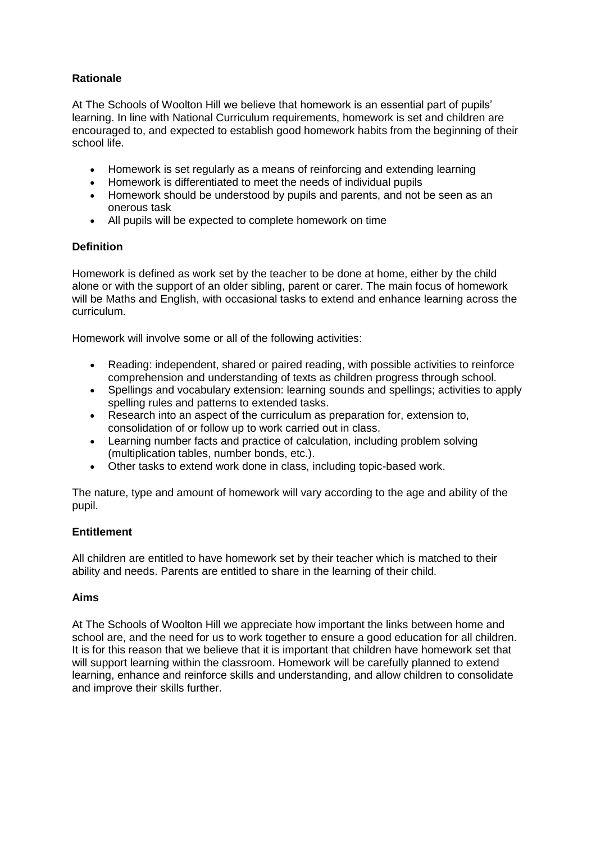# **Rationale**

At The Schools of Woolton Hill we believe that homework is an essential part of pupils' learning. In line with National Curriculum requirements, homework is set and children are encouraged to, and expected to establish good homework habits from the beginning of their school life.

- Homework is set regularly as a means of reinforcing and extending learning
- Homework is differentiated to meet the needs of individual pupils
- Homework should be understood by pupils and parents, and not be seen as an onerous task
- All pupils will be expected to complete homework on time

# **Definition**

Homework is defined as work set by the teacher to be done at home, either by the child alone or with the support of an older sibling, parent or carer. The main focus of homework will be Maths and English, with occasional tasks to extend and enhance learning across the curriculum.

Homework will involve some or all of the following activities:

- Reading: independent, shared or paired reading, with possible activities to reinforce comprehension and understanding of texts as children progress through school.
- Spellings and vocabulary extension: learning sounds and spellings; activities to apply spelling rules and patterns to extended tasks.
- Research into an aspect of the curriculum as preparation for, extension to, consolidation of or follow up to work carried out in class.
- Learning number facts and practice of calculation, including problem solving (multiplication tables, number bonds, etc.).
- Other tasks to extend work done in class, including topic-based work.

The nature, type and amount of homework will vary according to the age and ability of the pupil.

## **Entitlement**

All children are entitled to have homework set by their teacher which is matched to their ability and needs. Parents are entitled to share in the learning of their child.

## **Aims**

At The Schools of Woolton Hill we appreciate how important the links between home and school are, and the need for us to work together to ensure a good education for all children. It is for this reason that we believe that it is important that children have homework set that will support learning within the classroom. Homework will be carefully planned to extend learning, enhance and reinforce skills and understanding, and allow children to consolidate and improve their skills further.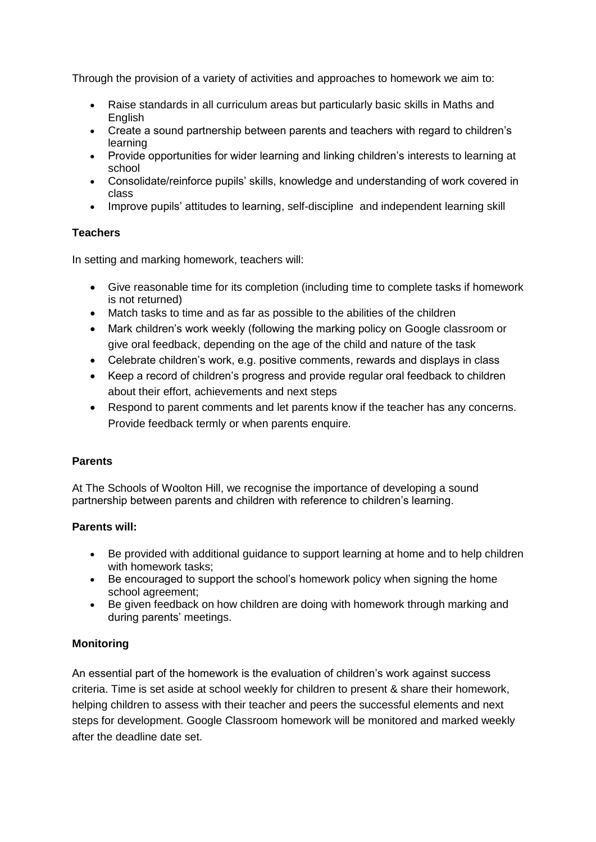Through the provision of a variety of activities and approaches to homework we aim to:

- Raise standards in all curriculum areas but particularly basic skills in Maths and **English**
- Create a sound partnership between parents and teachers with regard to children's learning
- Provide opportunities for wider learning and linking children's interests to learning at school
- Consolidate/reinforce pupils' skills, knowledge and understanding of work covered in class
- Improve pupils' attitudes to learning, self-discipline and independent learning skill

# **Teachers**

In setting and marking homework, teachers will:

- Give reasonable time for its completion (including time to complete tasks if homework is not returned)
- Match tasks to time and as far as possible to the abilities of the children
- Mark children's work weekly (following the marking policy on Google classroom or give oral feedback, depending on the age of the child and nature of the task
- Celebrate children's work, e.g. positive comments, rewards and displays in class
- Keep a record of children's progress and provide regular oral feedback to children about their effort, achievements and next steps
- Respond to parent comments and let parents know if the teacher has any concerns. Provide feedback termly or when parents enquire.

# **Parents**

At The Schools of Woolton Hill, we recognise the importance of developing a sound partnership between parents and children with reference to children's learning.

# **Parents will:**

- Be provided with additional guidance to support learning at home and to help children with homework tasks;
- Be encouraged to support the school's homework policy when signing the home school agreement;
- Be given feedback on how children are doing with homework through marking and during parents' meetings.

# **Monitoring**

An essential part of the homework is the evaluation of children's work against success criteria. Time is set aside at school weekly for children to present & share their homework, helping children to assess with their teacher and peers the successful elements and next steps for development. Google Classroom homework will be monitored and marked weekly after the deadline date set.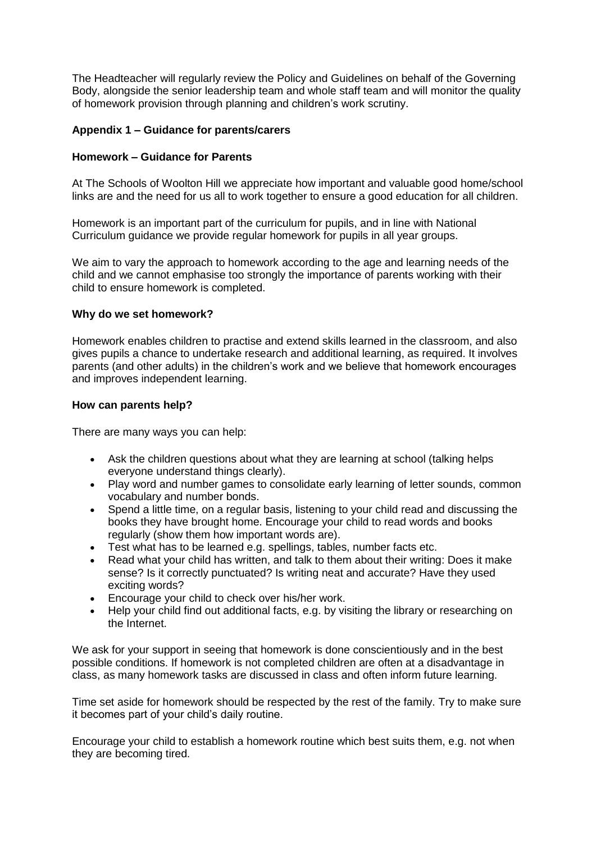The Headteacher will regularly review the Policy and Guidelines on behalf of the Governing Body, alongside the senior leadership team and whole staff team and will monitor the quality of homework provision through planning and children's work scrutiny.

### **Appendix 1 – Guidance for parents/carers**

#### **Homework – Guidance for Parents**

At The Schools of Woolton Hill we appreciate how important and valuable good home/school links are and the need for us all to work together to ensure a good education for all children.

Homework is an important part of the curriculum for pupils, and in line with National Curriculum guidance we provide regular homework for pupils in all year groups.

We aim to vary the approach to homework according to the age and learning needs of the child and we cannot emphasise too strongly the importance of parents working with their child to ensure homework is completed.

#### **Why do we set homework?**

Homework enables children to practise and extend skills learned in the classroom, and also gives pupils a chance to undertake research and additional learning, as required. It involves parents (and other adults) in the children's work and we believe that homework encourages and improves independent learning.

#### **How can parents help?**

There are many ways you can help:

- Ask the children questions about what they are learning at school (talking helps everyone understand things clearly).
- Play word and number games to consolidate early learning of letter sounds, common vocabulary and number bonds.
- Spend a little time, on a regular basis, listening to your child read and discussing the books they have brought home. Encourage your child to read words and books regularly (show them how important words are).
- Test what has to be learned e.g. spellings, tables, number facts etc.
- Read what your child has written, and talk to them about their writing: Does it make sense? Is it correctly punctuated? Is writing neat and accurate? Have they used exciting words?
- Encourage your child to check over his/her work.
- Help your child find out additional facts, e.g. by visiting the library or researching on the Internet.

We ask for your support in seeing that homework is done conscientiously and in the best possible conditions. If homework is not completed children are often at a disadvantage in class, as many homework tasks are discussed in class and often inform future learning.

Time set aside for homework should be respected by the rest of the family. Try to make sure it becomes part of your child's daily routine.

Encourage your child to establish a homework routine which best suits them, e.g. not when they are becoming tired.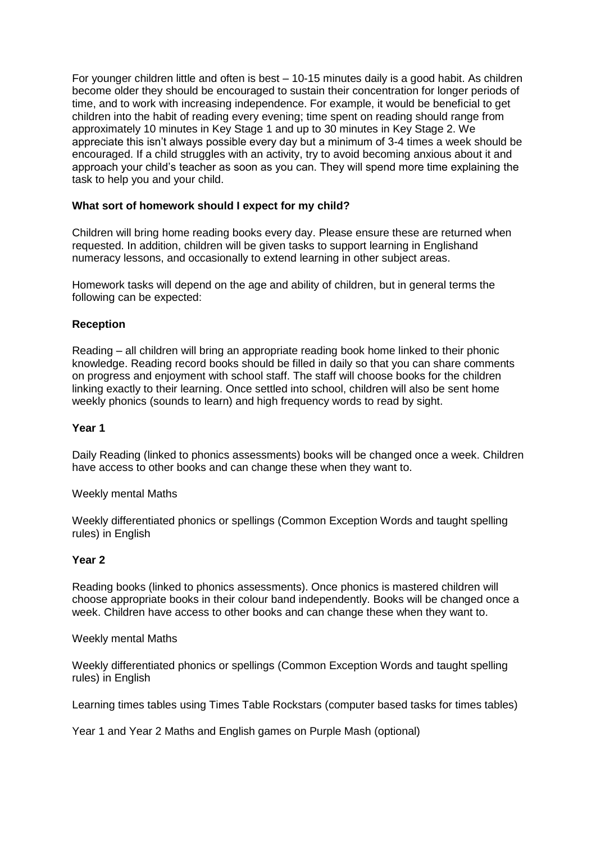For younger children little and often is best – 10-15 minutes daily is a good habit. As children become older they should be encouraged to sustain their concentration for longer periods of time, and to work with increasing independence. For example, it would be beneficial to get children into the habit of reading every evening; time spent on reading should range from approximately 10 minutes in Key Stage 1 and up to 30 minutes in Key Stage 2. We appreciate this isn't always possible every day but a minimum of 3-4 times a week should be encouraged. If a child struggles with an activity, try to avoid becoming anxious about it and approach your child's teacher as soon as you can. They will spend more time explaining the task to help you and your child.

## **What sort of homework should I expect for my child?**

Children will bring home reading books every day. Please ensure these are returned when requested. In addition, children will be given tasks to support learning in Englishand numeracy lessons, and occasionally to extend learning in other subject areas.

Homework tasks will depend on the age and ability of children, but in general terms the following can be expected:

# **Reception**

Reading – all children will bring an appropriate reading book home linked to their phonic knowledge. Reading record books should be filled in daily so that you can share comments on progress and enjoyment with school staff. The staff will choose books for the children linking exactly to their learning. Once settled into school, children will also be sent home weekly phonics (sounds to learn) and high frequency words to read by sight.

## **Year 1**

Daily Reading (linked to phonics assessments) books will be changed once a week. Children have access to other books and can change these when they want to.

#### Weekly mental Maths

Weekly differentiated phonics or spellings (Common Exception Words and taught spelling rules) in English

#### **Year 2**

Reading books (linked to phonics assessments). Once phonics is mastered children will choose appropriate books in their colour band independently. Books will be changed once a week. Children have access to other books and can change these when they want to.

#### Weekly mental Maths

Weekly differentiated phonics or spellings (Common Exception Words and taught spelling rules) in English

Learning times tables using Times Table Rockstars (computer based tasks for times tables)

Year 1 and Year 2 Maths and English games on Purple Mash (optional)